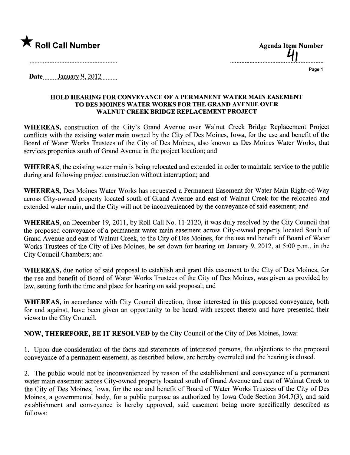

...................................4.1................

Page 1

Date  $January 9, 2012$ 

## HOLD HEARIG FOR CONVEYANCE OF A PERMANENT WATER MAIN EASEMENT TO DES MOINES WATER WORKS FOR THE GRAND AVENUE OVER WALNUT CREEK BRIDGE REPLACEMENT PROJECT

WHEREAS, construction of the City's Grand Avenue over Walnut Creek Bridge Replacement Project conflicts with the existing water main owned by the City of Des Moines, Iowa, for the use and benefit of the Board of Water Works Trustees of the City of Des Moines, also known as Des Moines Water Works, that services properties south of Grand Avenue in the project location; and

WHEREAS, the existing water main is being relocated and extended in order to maintain service to the public during and following project construction without interruption; and

WHEREAS, Des Moines Water Works has requested a Permanent Easement for Water Main Right-of-Way across City-owned property located south of Grand Avenue and east of Walnut Creek for the relocated and extended water main, and the City will not be inconvenienced by the conveyance of said easement; and

WHEREAS, on December 19,2011, by Roll Call No. 11-2120, it was duly resolved by the City Council that the proposed conveyance of a permanent water main easement across City-owned property located South of Grand Avenue and east of Walnut Creek, to the City of Des Moines, for the use and benefit of Board of Water Works Trustees of the City of Des Moines, be set down for hearing on January 9, 2012, at 5:00 p.m., in the City Council Chambers; and

WHEREAS, due notice of said proposal to establish and grant this easement to the City of Des Moines, for the use and benefit of Board of Water Works Trustees of the City of Des Moines, was given as provided by law, setting forth the time and place for hearing on said proposal; and

WHEREAS, in accordance with City Council direction, those interested in this proposed conveyance, both for and against, have been given an opportunity to be heard with respect thereto and have presented their views to the City CounciL.

NOW, THEREFORE, BE IT RESOLVED by the City Council of the City of Des Moines, Iowa:

1. Upon due consideration of the facts and statements of interested persons, the objections to the proposed conveyance of a permanent easement, as described below, are hereby overruled and the hearing is closed.

2. The public would not be inconvenienced by reason of the establishment and conveyance of a permanent water main easement across City-owned property located south of Grand Avenue and east of Walnut Creek to the City of Des Moines, Iowa, for the use and benefit of Board of Water Works Trustees of the City of Des Moines, a governmental body, for a public purpose as authorized by Iowa Code Section 364.7(3), and said establishment and conveyance is hereby approved, said easement being more specifically described as follows: